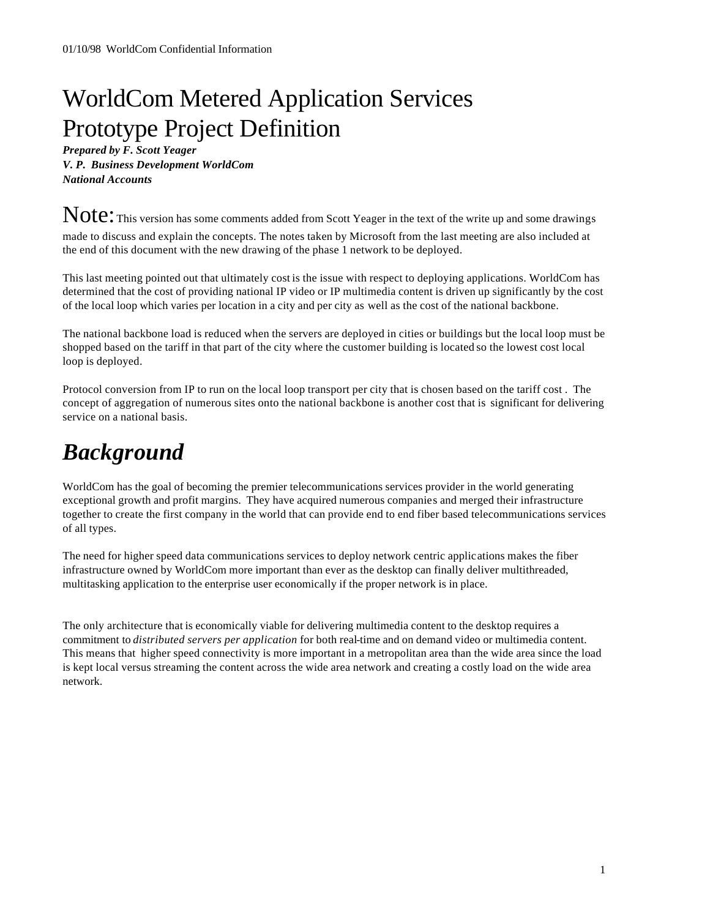# WorldCom Metered Application Services Prototype Project Definition

*Prepared by F. Scott Yeager V. P. Business Development WorldCom National Accounts*

Note: This version has some comments added from Scott Yeager in the text of the write up and some drawings made to discuss and explain the concepts. The notes taken by Microsoft from the last meeting are also included at the end of this document with the new drawing of the phase 1 network to be deployed.

This last meeting pointed out that ultimately cost is the issue with respect to deploying applications. WorldCom has determined that the cost of providing national IP video or IP multimedia content is driven up significantly by the cost of the local loop which varies per location in a city and per city as well as the cost of the national backbone.

The national backbone load is reduced when the servers are deployed in cities or buildings but the local loop must be shopped based on the tariff in that part of the city where the customer building is located so the lowest cost local loop is deployed.

Protocol conversion from IP to run on the local loop transport per city that is chosen based on the tariff cost . The concept of aggregation of numerous sites onto the national backbone is another cost that is significant for delivering service on a national basis.

# *Background*

WorldCom has the goal of becoming the premier telecommunications services provider in the world generating exceptional growth and profit margins. They have acquired numerous companies and merged their infrastructure together to create the first company in the world that can provide end to end fiber based telecommunications services of all types.

The need for higher speed data communications services to deploy network centric applications makes the fiber infrastructure owned by WorldCom more important than ever as the desktop can finally deliver multithreaded, multitasking application to the enterprise user economically if the proper network is in place.

The only architecture that is economically viable for delivering multimedia content to the desktop requires a commitment to *distributed servers per application* for both real-time and on demand video or multimedia content. This means that higher speed connectivity is more important in a metropolitan area than the wide area since the load is kept local versus streaming the content across the wide area network and creating a costly load on the wide area network.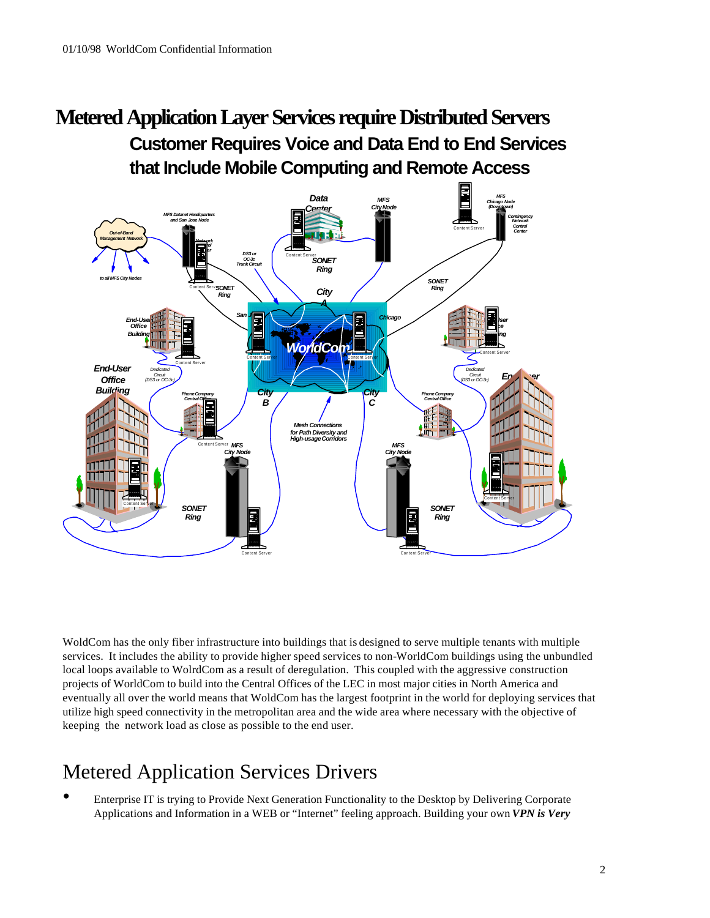# **Customer Requires Voice and Data End to End Services that Include Mobile Computing and Remote Access Metered Application Layer Services require Distributed Servers**



WoldCom has the only fiber infrastructure into buildings that is designed to serve multiple tenants with multiple services. It includes the ability to provide higher speed services to non-WorldCom buildings using the unbundled local loops available to WolrdCom as a result of deregulation. This coupled with the aggressive construction projects of WorldCom to build into the Central Offices of the LEC in most major cities in North America and eventually all over the world means that WoldCom has the largest footprint in the world for deploying services that utilize high speed connectivity in the metropolitan area and the wide area where necessary with the objective of keeping the network load as close as possible to the end user.

# Metered Application Services Drivers

• Enterprise IT is trying to Provide Next Generation Functionality to the Desktop by Delivering Corporate Applications and Information in a WEB or "Internet" feeling approach. Building your own *VPN is Very*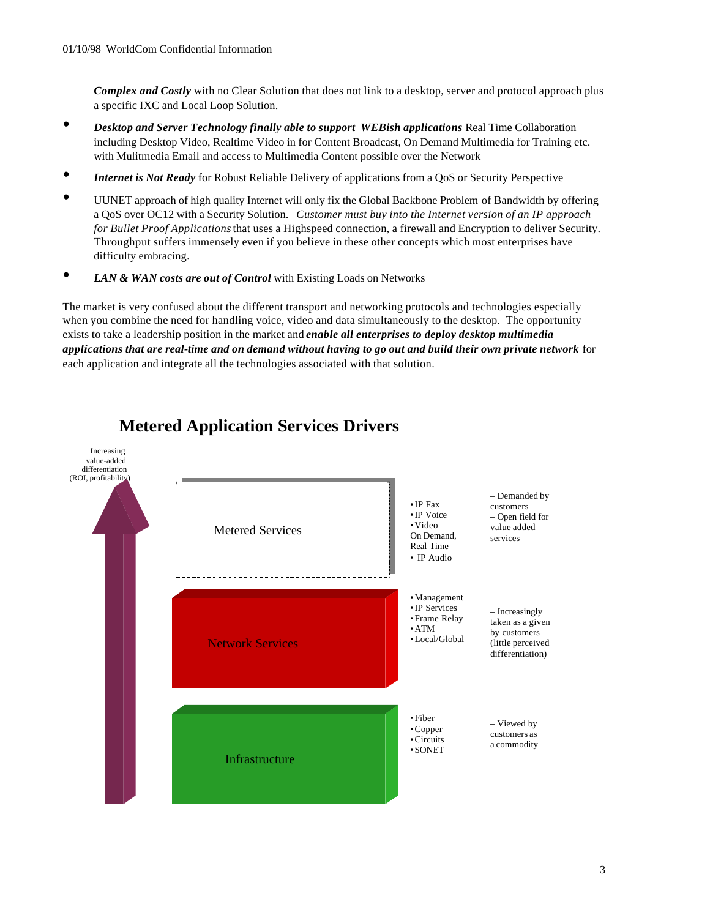*Complex and Costly* with no Clear Solution that does not link to a desktop, server and protocol approach plus a specific IXC and Local Loop Solution.

- *Desktop and Server Technology finally able to support WEBish applications* Real Time Collaboration including Desktop Video, Realtime Video in for Content Broadcast, On Demand Multimedia for Training etc. with Mulitmedia Email and access to Multimedia Content possible over the Network
- *Internet is Not Ready* for Robust Reliable Delivery of applications from a QoS or Security Perspective
- UUNET approach of high quality Internet will only fix the Global Backbone Problem of Bandwidth by offering a QoS over OC12 with a Security Solution. *Customer must buy into the Internet version of an IP approach for Bullet Proof Applications* that uses a Highspeed connection, a firewall and Encryption to deliver Security. Throughput suffers immensely even if you believe in these other concepts which most enterprises have difficulty embracing.
- LAN & WAN costs are out of Control with Existing Loads on Networks

The market is very confused about the different transport and networking protocols and technologies especially when you combine the need for handling voice, video and data simultaneously to the desktop. The opportunity exists to take a leadership position in the market and *enable all enterprises to deploy desktop multimedia applications that are real-time and on demand without having to go out and build their own private network* for each application and integrate all the technologies associated with that solution.



# **Metered Application Services Drivers**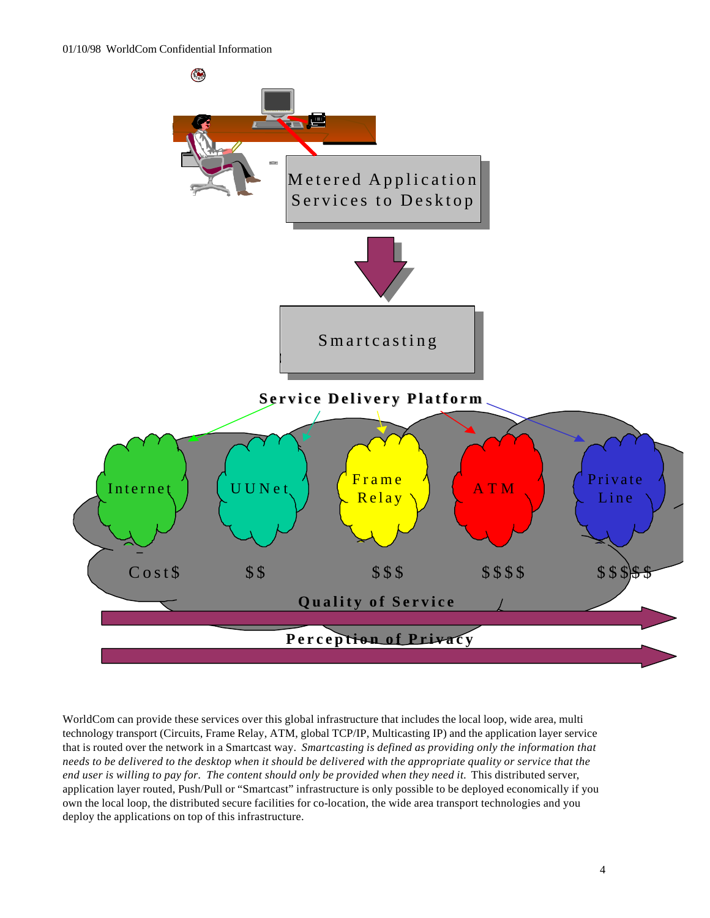

WorldCom can provide these services over this global infrastructure that includes the local loop, wide area, multi technology transport (Circuits, Frame Relay, ATM, global TCP/IP, Multicasting IP) and the application layer service that is routed over the network in a Smartcast way. *Smartcasting is defined as providing only the information that needs to be delivered to the desktop when it should be delivered with the appropriate quality or service that the end user is willing to pay for. The content should only be provided when they need it.* This distributed server, application layer routed, Push/Pull or "Smartcast" infrastructure is only possible to be deployed economically if you own the local loop, the distributed secure facilities for co-location, the wide area transport technologies and you deploy the applications on top of this infrastructure.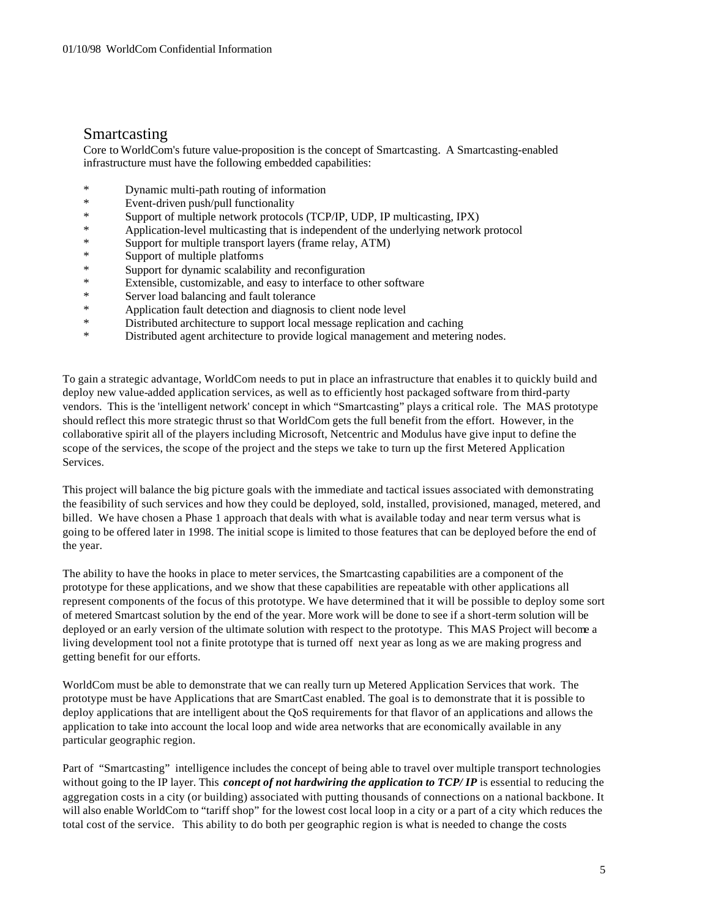#### Smartcasting

Core to WorldCom's future value-proposition is the concept of Smartcasting. A Smartcasting-enabled infrastructure must have the following embedded capabilities:

- \* Dynamic multi-path routing of information
- \* Event-driven push/pull functionality
- \* Support of multiple network protocols (TCP/IP, UDP, IP multicasting, IPX)
- \* Application-level multicasting that is independent of the underlying network protocol<br>
\* Support for multiple transport layers (from relay ATM)
- \* Support for multiple transport layers (frame relay, ATM)
- Support of multiple platforms
- \* Support for dynamic scalability and reconfiguration<br>
\* Extensible customizable and easy to interface to of
- \* Extensible, customizable, and easy to interface to other software<br>Network Server load balancing and fault tolerance
- Server load balancing and fault tolerance
- \* Application fault detection and diagnosis to client node level
- Distributed architecture to support local message replication and caching
- \* Distributed agent architecture to provide logical management and metering nodes.

To gain a strategic advantage, WorldCom needs to put in place an infrastructure that enables it to quickly build and deploy new value-added application services, as well as to efficiently host packaged software from third-party vendors. This is the 'intelligent network' concept in which "Smartcasting" plays a critical role. The MAS prototype should reflect this more strategic thrust so that WorldCom gets the full benefit from the effort. However, in the collaborative spirit all of the players including Microsoft, Netcentric and Modulus have give input to define the scope of the services, the scope of the project and the steps we take to turn up the first Metered Application Services.

This project will balance the big picture goals with the immediate and tactical issues associated with demonstrating the feasibility of such services and how they could be deployed, sold, installed, provisioned, managed, metered, and billed. We have chosen a Phase 1 approach that deals with what is available today and near term versus what is going to be offered later in 1998. The initial scope is limited to those features that can be deployed before the end of the year.

The ability to have the hooks in place to meter services, the Smartcasting capabilities are a component of the prototype for these applications, and we show that these capabilities are repeatable with other applications all represent components of the focus of this prototype. We have determined that it will be possible to deploy some sort of metered Smartcast solution by the end of the year. More work will be done to see if a short-term solution will be deployed or an early version of the ultimate solution with respect to the prototype. This MAS Project will become a living development tool not a finite prototype that is turned off next year as long as we are making progress and getting benefit for our efforts.

WorldCom must be able to demonstrate that we can really turn up Metered Application Services that work. The prototype must be have Applications that are SmartCast enabled. The goal is to demonstrate that it is possible to deploy applications that are intelligent about the QoS requirements for that flavor of an applications and allows the application to take into account the local loop and wide area networks that are economically available in any particular geographic region.

Part of "Smartcasting" intelligence includes the concept of being able to travel over multiple transport technologies without going to the IP layer. This *concept of not hardwiring the application to TCP/IP* is essential to reducing the aggregation costs in a city (or building) associated with putting thousands of connections on a national backbone. It will also enable WorldCom to "tariff shop" for the lowest cost local loop in a city or a part of a city which reduces the total cost of the service. This ability to do both per geographic region is what is needed to change the costs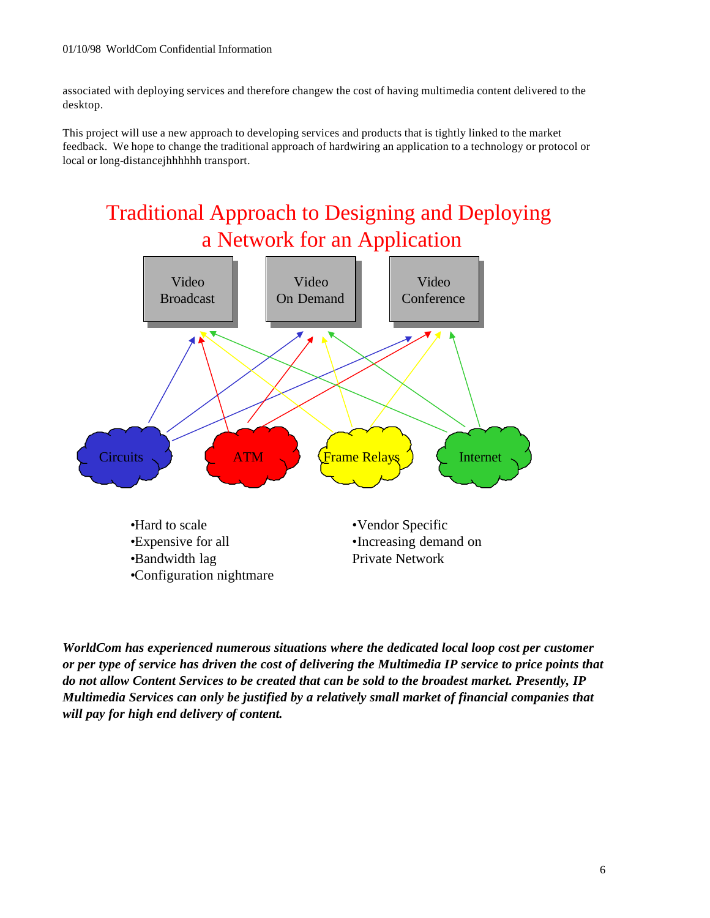associated with deploying services and therefore changew the cost of having multimedia content delivered to the desktop.

This project will use a new approach to developing services and products that is tightly linked to the market feedback. We hope to change the traditional approach of hardwiring an application to a technology or protocol or local or long-distancejhhhhhh transport.





*WorldCom has experienced numerous situations where the dedicated local loop cost per customer or per type of service has driven the cost of delivering the Multimedia IP service to price points that do not allow Content Services to be created that can be sold to the broadest market. Presently, IP Multimedia Services can only be justified by a relatively small market of financial companies that will pay for high end delivery of content.*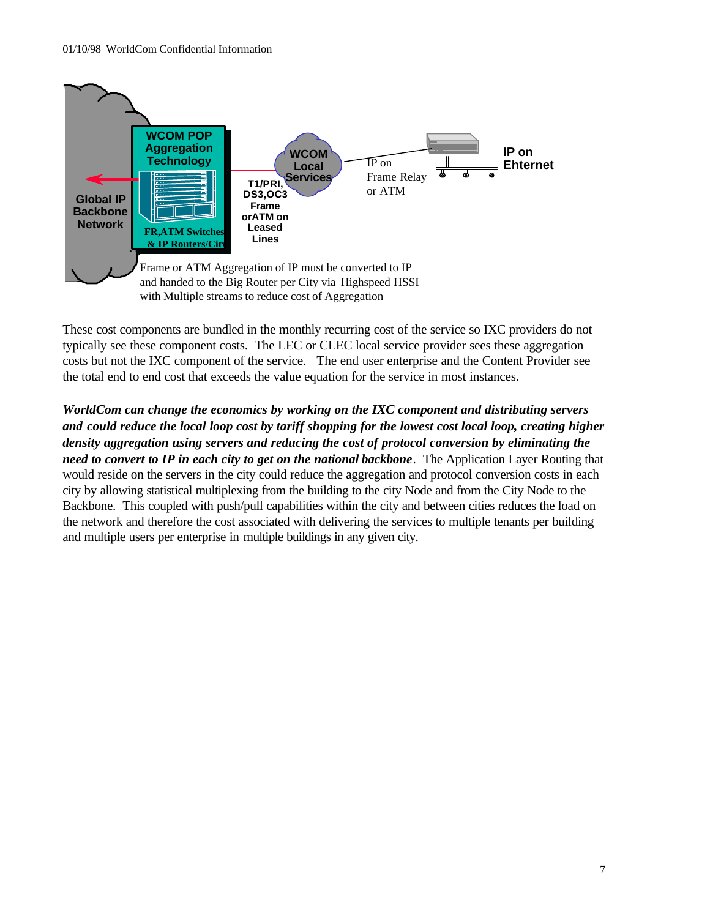

These cost components are bundled in the monthly recurring cost of the service so IXC providers do not typically see these component costs. The LEC or CLEC local service provider sees these aggregation costs but not the IXC component of the service. The end user enterprise and the Content Provider see the total end to end cost that exceeds the value equation for the service in most instances.

*WorldCom can change the economics by working on the IXC component and distributing servers and could reduce the local loop cost by tariff shopping for the lowest cost local loop, creating higher density aggregation using servers and reducing the cost of protocol conversion by eliminating the need to convert to IP in each city to get on the national backbone*. The Application Layer Routing that would reside on the servers in the city could reduce the aggregation and protocol conversion costs in each city by allowing statistical multiplexing from the building to the city Node and from the City Node to the Backbone. This coupled with push/pull capabilities within the city and between cities reduces the load on the network and therefore the cost associated with delivering the services to multiple tenants per building and multiple users per enterprise in multiple buildings in any given city.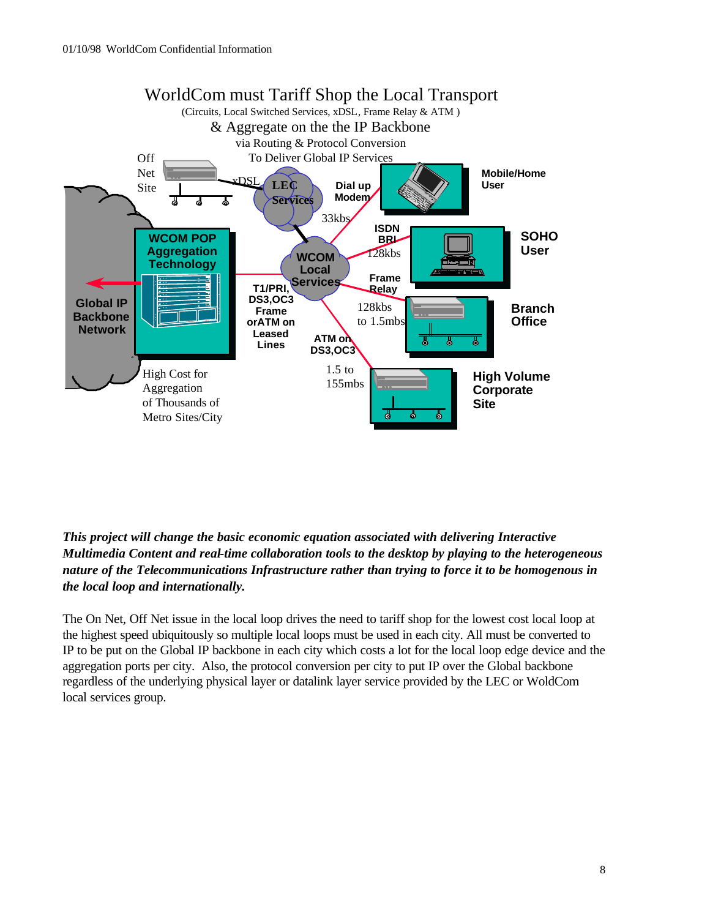

*This project will change the basic economic equation associated with delivering Interactive Multimedia Content and real-time collaboration tools to the desktop by playing to the heterogeneous nature of the Telecommunications Infrastructure rather than trying to force it to be homogenous in the local loop and internationally.* 

The On Net, Off Net issue in the local loop drives the need to tariff shop for the lowest cost local loop at the highest speed ubiquitously so multiple local loops must be used in each city. All must be converted to IP to be put on the Global IP backbone in each city which costs a lot for the local loop edge device and the aggregation ports per city. Also, the protocol conversion per city to put IP over the Global backbone regardless of the underlying physical layer or datalink layer service provided by the LEC or WoldCom local services group.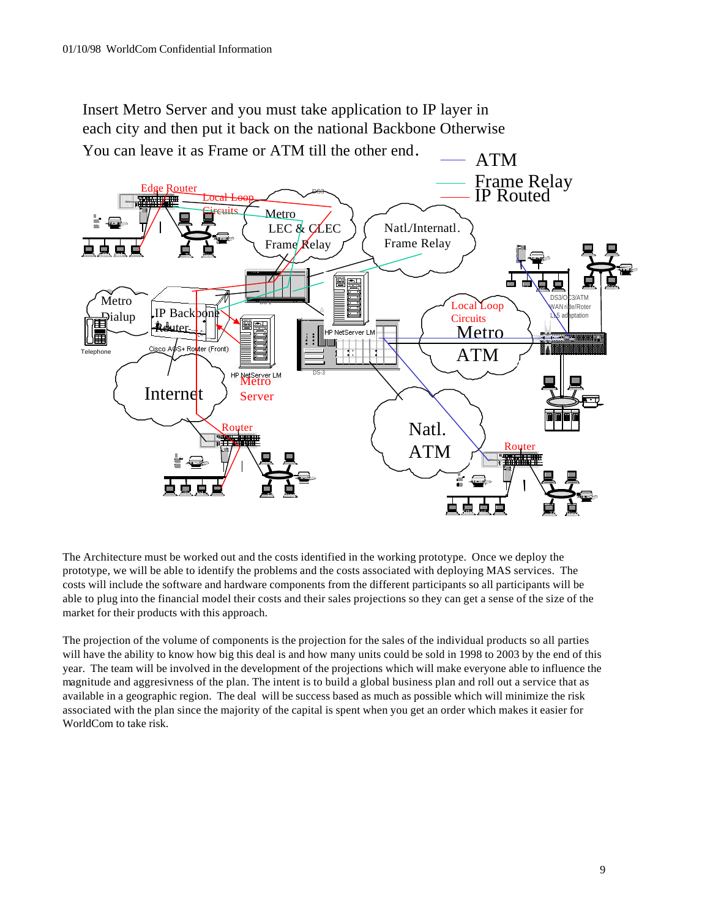Insert Metro Server and you must take application to IP layer in each city and then put it back on the national Backbone Otherwise You can leave it as Frame or ATM till the other end.



The Architecture must be worked out and the costs identified in the working prototype. Once we deploy the prototype, we will be able to identify the problems and the costs associated with deploying MAS services. The costs will include the software and hardware components from the different participants so all participants will be able to plug into the financial model their costs and their sales projections so they can get a sense of the size of the market for their products with this approach.

The projection of the volume of components is the projection for the sales of the individual products so all parties will have the ability to know how big this deal is and how many units could be sold in 1998 to 2003 by the end of this year. The team will be involved in the development of the projections which will make everyone able to influence the magnitude and aggresivness of the plan. The intent is to build a global business plan and roll out a service that as available in a geographic region. The deal will be success based as much as possible which will minimize the risk associated with the plan since the majority of the capital is spent when you get an order which makes it easier for WorldCom to take risk.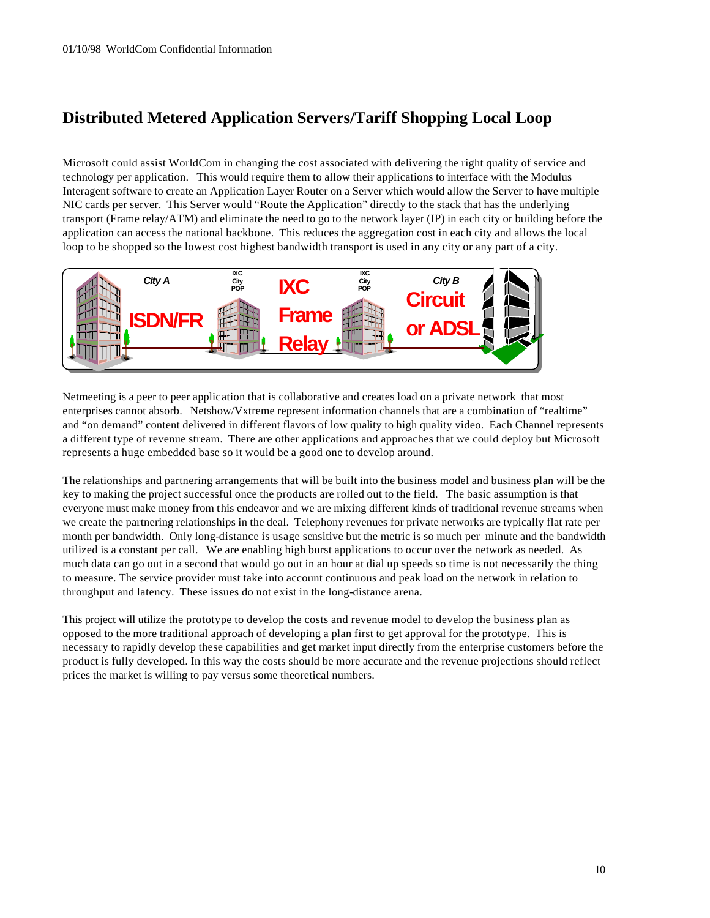### **Distributed Metered Application Servers/Tariff Shopping Local Loop**

Microsoft could assist WorldCom in changing the cost associated with delivering the right quality of service and technology per application. This would require them to allow their applications to interface with the Modulus Interagent software to create an Application Layer Router on a Server which would allow the Server to have multiple NIC cards per server. This Server would "Route the Application" directly to the stack that has the underlying transport (Frame relay/ATM) and eliminate the need to go to the network layer (IP) in each city or building before the application can access the national backbone. This reduces the aggregation cost in each city and allows the local loop to be shopped so the lowest cost highest bandwidth transport is used in any city or any part of a city.



Netmeeting is a peer to peer application that is collaborative and creates load on a private network that most enterprises cannot absorb. Netshow/Vxtreme represent information channels that are a combination of "realtime" and "on demand" content delivered in different flavors of low quality to high quality video. Each Channel represents a different type of revenue stream. There are other applications and approaches that we could deploy but Microsoft represents a huge embedded base so it would be a good one to develop around.

The relationships and partnering arrangements that will be built into the business model and business plan will be the key to making the project successful once the products are rolled out to the field. The basic assumption is that everyone must make money from this endeavor and we are mixing different kinds of traditional revenue streams when we create the partnering relationships in the deal. Telephony revenues for private networks are typically flat rate per month per bandwidth. Only long-distance is usage sensitive but the metric is so much per minute and the bandwidth utilized is a constant per call. We are enabling high burst applications to occur over the network as needed. As much data can go out in a second that would go out in an hour at dial up speeds so time is not necessarily the thing to measure. The service provider must take into account continuous and peak load on the network in relation to throughput and latency. These issues do not exist in the long-distance arena.

This project will utilize the prototype to develop the costs and revenue model to develop the business plan as opposed to the more traditional approach of developing a plan first to get approval for the prototype. This is necessary to rapidly develop these capabilities and get market input directly from the enterprise customers before the product is fully developed. In this way the costs should be more accurate and the revenue projections should reflect prices the market is willing to pay versus some theoretical numbers.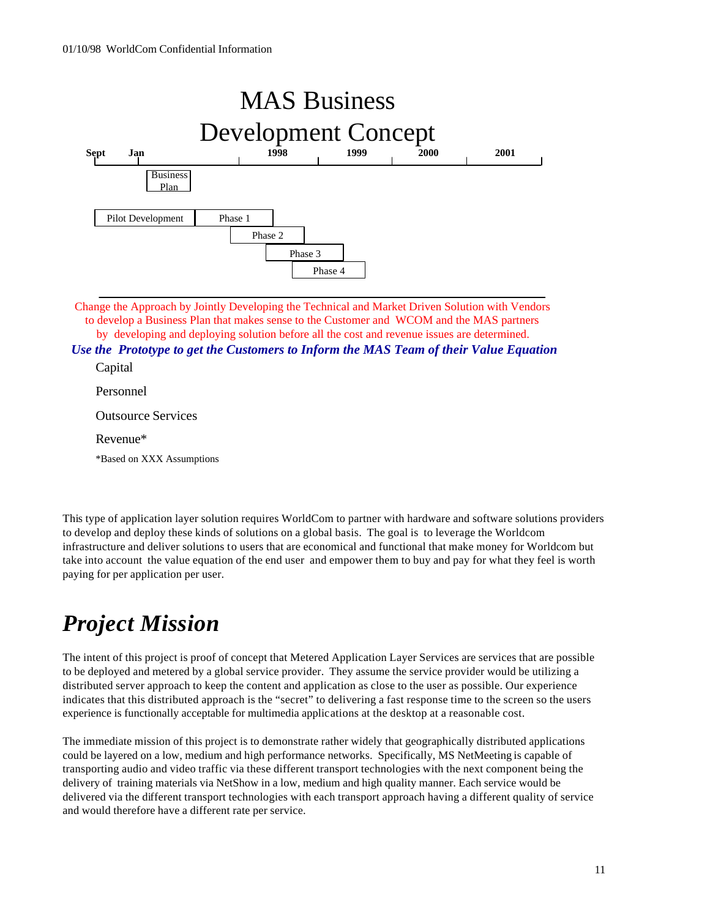

Change the Approach by Jointly Developing the Technical and Market Driven Solution with Vendors to develop a Business Plan that makes sense to the Customer and WCOM and the MAS partners

by developing and deploying solution before all the cost and revenue issues are determined.

*Use the Prototype to get the Customers to Inform the MAS Team of their Value Equation*

Capital

Personnel

Outsource Services

Revenue\*

\*Based on XXX Assumptions

This type of application layer solution requires WorldCom to partner with hardware and software solutions providers to develop and deploy these kinds of solutions on a global basis. The goal is to leverage the Worldcom infrastructure and deliver solutions to users that are economical and functional that make money for Worldcom but take into account the value equation of the end user and empower them to buy and pay for what they feel is worth paying for per application per user.

# *Project Mission*

The intent of this project is proof of concept that Metered Application Layer Services are services that are possible to be deployed and metered by a global service provider. They assume the service provider would be utilizing a distributed server approach to keep the content and application as close to the user as possible. Our experience indicates that this distributed approach is the "secret" to delivering a fast response time to the screen so the users experience is functionally acceptable for multimedia applications at the desktop at a reasonable cost.

The immediate mission of this project is to demonstrate rather widely that geographically distributed applications could be layered on a low, medium and high performance networks. Specifically, MS NetMeeting is capable of transporting audio and video traffic via these different transport technologies with the next component being the delivery of training materials via NetShow in a low, medium and high quality manner. Each service would be delivered via the different transport technologies with each transport approach having a different quality of service and would therefore have a different rate per service.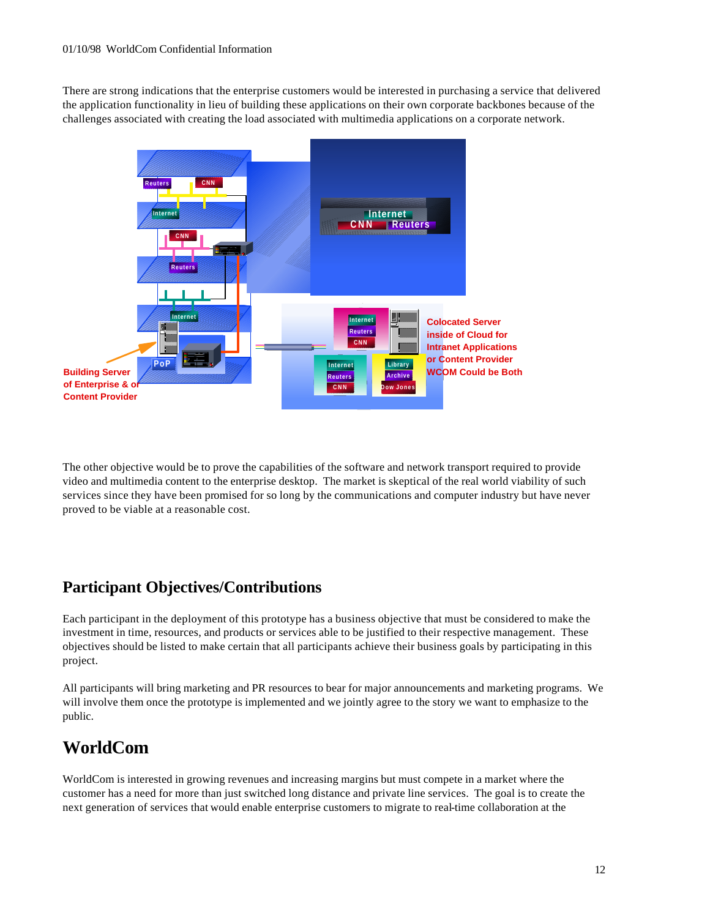There are strong indications that the enterprise customers would be interested in purchasing a service that delivered the application functionality in lieu of building these applications on their own corporate backbones because of the challenges associated with creating the load associated with multimedia applications on a corporate network.



The other objective would be to prove the capabilities of the software and network transport required to provide video and multimedia content to the enterprise desktop. The market is skeptical of the real world viability of such services since they have been promised for so long by the communications and computer industry but have never proved to be viable at a reasonable cost.

## **Participant Objectives/Contributions**

Each participant in the deployment of this prototype has a business objective that must be considered to make the investment in time, resources, and products or services able to be justified to their respective management. These objectives should be listed to make certain that all participants achieve their business goals by participating in this project.

All participants will bring marketing and PR resources to bear for major announcements and marketing programs. We will involve them once the prototype is implemented and we jointly agree to the story we want to emphasize to the public.

# **WorldCom**

WorldCom is interested in growing revenues and increasing margins but must compete in a market where the customer has a need for more than just switched long distance and private line services. The goal is to create the next generation of services that would enable enterprise customers to migrate to real-time collaboration at the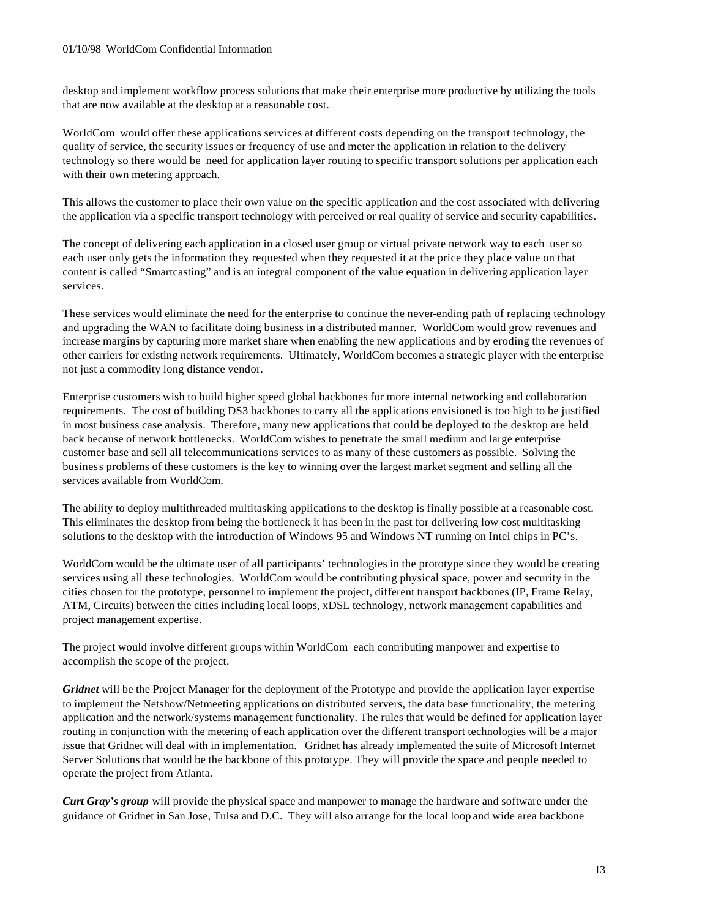desktop and implement workflow process solutions that make their enterprise more productive by utilizing the tools that are now available at the desktop at a reasonable cost.

WorldCom would offer these applications services at different costs depending on the transport technology, the quality of service, the security issues or frequency of use and meter the application in relation to the delivery technology so there would be need for application layer routing to specific transport solutions per application each with their own metering approach.

This allows the customer to place their own value on the specific application and the cost associated with delivering the application via a specific transport technology with perceived or real quality of service and security capabilities.

The concept of delivering each application in a closed user group or virtual private network way to each user so each user only gets the information they requested when they requested it at the price they place value on that content is called "Smartcasting" and is an integral component of the value equation in delivering application layer services.

These services would eliminate the need for the enterprise to continue the never-ending path of replacing technology and upgrading the WAN to facilitate doing business in a distributed manner. WorldCom would grow revenues and increase margins by capturing more market share when enabling the new applications and by eroding the revenues of other carriers for existing network requirements. Ultimately, WorldCom becomes a strategic player with the enterprise not just a commodity long distance vendor.

Enterprise customers wish to build higher speed global backbones for more internal networking and collaboration requirements. The cost of building DS3 backbones to carry all the applications envisioned is too high to be justified in most business case analysis. Therefore, many new applications that could be deployed to the desktop are held back because of network bottlenecks. WorldCom wishes to penetrate the small medium and large enterprise customer base and sell all telecommunications services to as many of these customers as possible. Solving the business problems of these customers is the key to winning over the largest market segment and selling all the services available from WorldCom.

The ability to deploy multithreaded multitasking applications to the desktop is finally possible at a reasonable cost. This eliminates the desktop from being the bottleneck it has been in the past for delivering low cost multitasking solutions to the desktop with the introduction of Windows 95 and Windows NT running on Intel chips in PC's.

WorldCom would be the ultimate user of all participants' technologies in the prototype since they would be creating services using all these technologies. WorldCom would be contributing physical space, power and security in the cities chosen for the prototype, personnel to implement the project, different transport backbones (IP, Frame Relay, ATM, Circuits) between the cities including local loops, xDSL technology, network management capabilities and project management expertise.

The project would involve different groups within WorldCom each contributing manpower and expertise to accomplish the scope of the project.

*Gridnet* will be the Project Manager for the deployment of the Prototype and provide the application layer expertise to implement the Netshow/Netmeeting applications on distributed servers, the data base functionality, the metering application and the network/systems management functionality. The rules that would be defined for application layer routing in conjunction with the metering of each application over the different transport technologies will be a major issue that Gridnet will deal with in implementation. Gridnet has already implemented the suite of Microsoft Internet Server Solutions that would be the backbone of this prototype. They will provide the space and people needed to operate the project from Atlanta.

*Curt Gray's group* will provide the physical space and manpower to manage the hardware and software under the guidance of Gridnet in San Jose, Tulsa and D.C. They will also arrange for the local loop and wide area backbone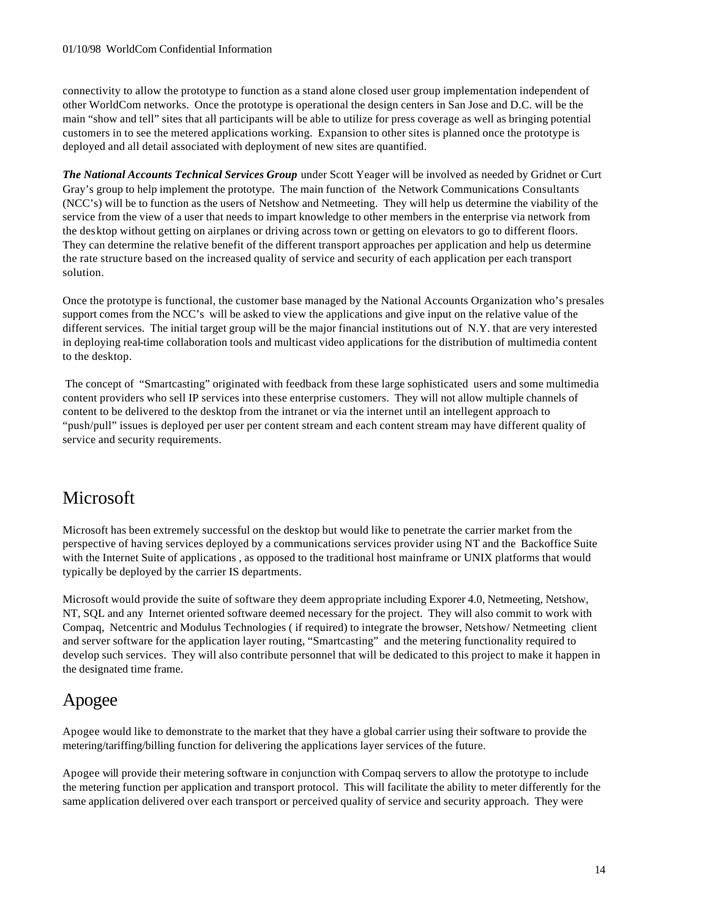#### 01/10/98 WorldCom Confidential Information

connectivity to allow the prototype to function as a stand alone closed user group implementation independent of other WorldCom networks. Once the prototype is operational the design centers in San Jose and D.C. will be the main "show and tell" sites that all participants will be able to utilize for press coverage as well as bringing potential customers in to see the metered applications working. Expansion to other sites is planned once the prototype is deployed and all detail associated with deployment of new sites are quantified.

*The National Accounts Technical Services Group* under Scott Yeager will be involved as needed by Gridnet or Curt Gray's group to help implement the prototype. The main function of the Network Communications Consultants (NCC's) will be to function as the users of Netshow and Netmeeting. They will help us determine the viability of the service from the view of a user that needs to impart knowledge to other members in the enterprise via network from the desktop without getting on airplanes or driving across town or getting on elevators to go to different floors. They can determine the relative benefit of the different transport approaches per application and help us determine the rate structure based on the increased quality of service and security of each application per each transport solution.

Once the prototype is functional, the customer base managed by the National Accounts Organization who's presales support comes from the NCC's will be asked to view the applications and give input on the relative value of the different services. The initial target group will be the major financial institutions out of N.Y. that are very interested in deploying real-time collaboration tools and multicast video applications for the distribution of multimedia content to the desktop.

 The concept of "Smartcasting" originated with feedback from these large sophisticated users and some multimedia content providers who sell IP services into these enterprise customers. They will not allow multiple channels of content to be delivered to the desktop from the intranet or via the internet until an intellegent approach to "push/pull" issues is deployed per user per content stream and each content stream may have different quality of service and security requirements.

## Microsoft

Microsoft has been extremely successful on the desktop but would like to penetrate the carrier market from the perspective of having services deployed by a communications services provider using NT and the Backoffice Suite with the Internet Suite of applications , as opposed to the traditional host mainframe or UNIX platforms that would typically be deployed by the carrier IS departments.

Microsoft would provide the suite of software they deem appropriate including Exporer 4.0, Netmeeting, Netshow, NT, SQL and any Internet oriented software deemed necessary for the project. They will also commit to work with Compaq, Netcentric and Modulus Technologies ( if required) to integrate the browser, Netshow/ Netmeeting client and server software for the application layer routing, "Smartcasting" and the metering functionality required to develop such services. They will also contribute personnel that will be dedicated to this project to make it happen in the designated time frame.

## Apogee

Apogee would like to demonstrate to the market that they have a global carrier using their software to provide the metering/tariffing/billing function for delivering the applications layer services of the future.

Apogee will provide their metering software in conjunction with Compaq servers to allow the prototype to include the metering function per application and transport protocol. This will facilitate the ability to meter differently for the same application delivered over each transport or perceived quality of service and security approach. They were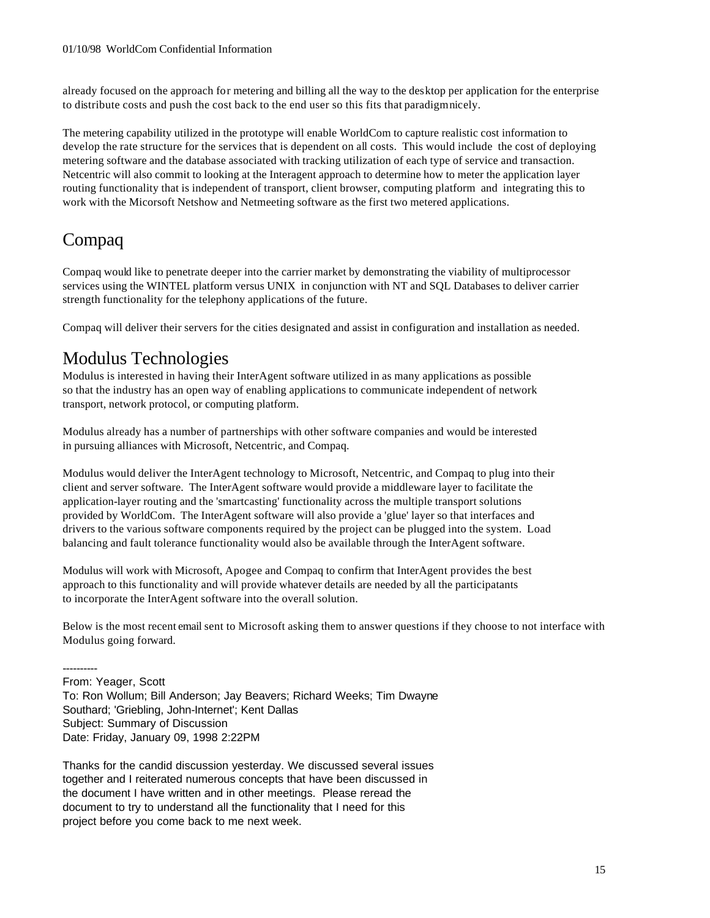already focused on the approach for metering and billing all the way to the desktop per application for the enterprise to distribute costs and push the cost back to the end user so this fits that paradigm nicely.

The metering capability utilized in the prototype will enable WorldCom to capture realistic cost information to develop the rate structure for the services that is dependent on all costs. This would include the cost of deploying metering software and the database associated with tracking utilization of each type of service and transaction. Netcentric will also commit to looking at the Interagent approach to determine how to meter the application layer routing functionality that is independent of transport, client browser, computing platform and integrating this to work with the Micorsoft Netshow and Netmeeting software as the first two metered applications.

# Compaq

Compaq would like to penetrate deeper into the carrier market by demonstrating the viability of multiprocessor services using the WINTEL platform versus UNIX in conjunction with NT and SQL Databases to deliver carrier strength functionality for the telephony applications of the future.

Compaq will deliver their servers for the cities designated and assist in configuration and installation as needed.

## Modulus Technologies

Modulus is interested in having their InterAgent software utilized in as many applications as possible so that the industry has an open way of enabling applications to communicate independent of network transport, network protocol, or computing platform.

Modulus already has a number of partnerships with other software companies and would be interested in pursuing alliances with Microsoft, Netcentric, and Compaq.

Modulus would deliver the InterAgent technology to Microsoft, Netcentric, and Compaq to plug into their client and server software. The InterAgent software would provide a middleware layer to facilitate the application-layer routing and the 'smartcasting' functionality across the multiple transport solutions provided by WorldCom. The InterAgent software will also provide a 'glue' layer so that interfaces and drivers to the various software components required by the project can be plugged into the system. Load balancing and fault tolerance functionality would also be available through the InterAgent software.

Modulus will work with Microsoft, Apogee and Compaq to confirm that InterAgent provides the best approach to this functionality and will provide whatever details are needed by all the participatants to incorporate the InterAgent software into the overall solution.

Below is the most recent email sent to Microsoft asking them to answer questions if they choose to not interface with Modulus going forward.

---------- From: Yeager, Scott To: Ron Wollum; Bill Anderson; Jay Beavers; Richard Weeks; Tim Dwayne Southard; 'Griebling, John-Internet'; Kent Dallas Subject: Summary of Discussion Date: Friday, January 09, 1998 2:22PM

Thanks for the candid discussion yesterday. We discussed several issues together and I reiterated numerous concepts that have been discussed in the document I have written and in other meetings. Please reread the document to try to understand all the functionality that I need for this project before you come back to me next week.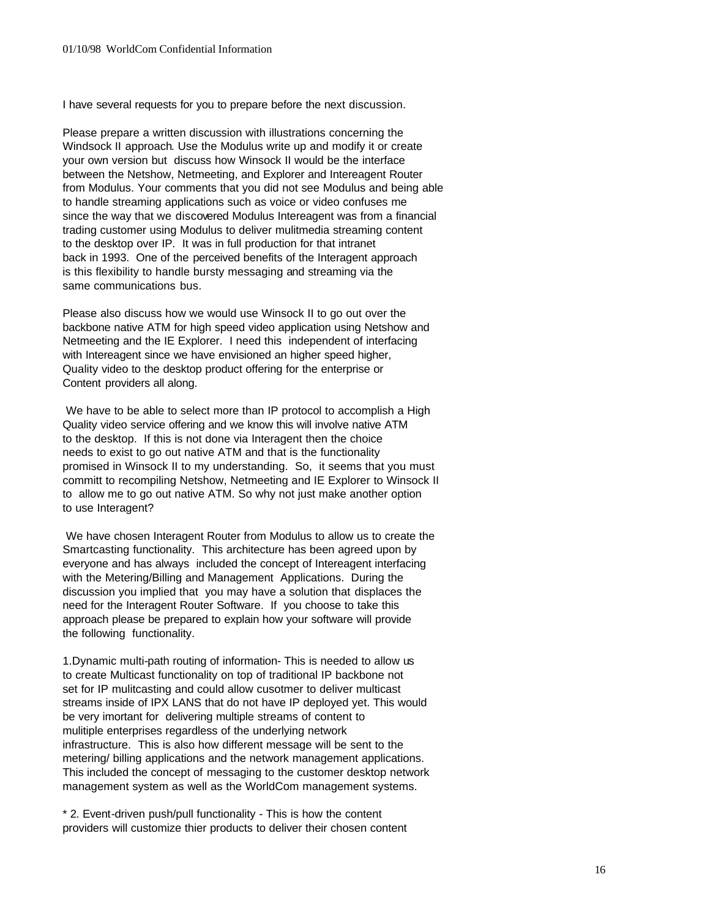I have several requests for you to prepare before the next discussion.

Please prepare a written discussion with illustrations concerning the Windsock II approach. Use the Modulus write up and modify it or create your own version but discuss how Winsock II would be the interface between the Netshow, Netmeeting, and Explorer and Intereagent Router from Modulus. Your comments that you did not see Modulus and being able to handle streaming applications such as voice or video confuses me since the way that we discovered Modulus Intereagent was from a financial trading customer using Modulus to deliver mulitmedia streaming content to the desktop over IP. It was in full production for that intranet back in 1993. One of the perceived benefits of the Interagent approach is this flexibility to handle bursty messaging and streaming via the same communications bus.

Please also discuss how we would use Winsock II to go out over the backbone native ATM for high speed video application using Netshow and Netmeeting and the IE Explorer. I need this independent of interfacing with Intereagent since we have envisioned an higher speed higher, Quality video to the desktop product offering for the enterprise or Content providers all along.

 We have to be able to select more than IP protocol to accomplish a High Quality video service offering and we know this will involve native ATM to the desktop. If this is not done via Interagent then the choice needs to exist to go out native ATM and that is the functionality promised in Winsock II to my understanding. So, it seems that you must committ to recompiling Netshow, Netmeeting and IE Explorer to Winsock II to allow me to go out native ATM. So why not just make another option to use Interagent?

 We have chosen Interagent Router from Modulus to allow us to create the Smartcasting functionality. This architecture has been agreed upon by everyone and has always included the concept of Intereagent interfacing with the Metering/Billing and Management Applications. During the discussion you implied that you may have a solution that displaces the need for the Interagent Router Software. If you choose to take this approach please be prepared to explain how your software will provide the following functionality.

1.Dynamic multi-path routing of information- This is needed to allow us to create Multicast functionality on top of traditional IP backbone not set for IP mulitcasting and could allow cusotmer to deliver multicast streams inside of IPX LANS that do not have IP deployed yet. This would be very imortant for delivering multiple streams of content to mulitiple enterprises regardless of the underlying network infrastructure. This is also how different message will be sent to the metering/ billing applications and the network management applications. This included the concept of messaging to the customer desktop network management system as well as the WorldCom management systems.

\* 2. Event-driven push/pull functionality - This is how the content providers will customize thier products to deliver their chosen content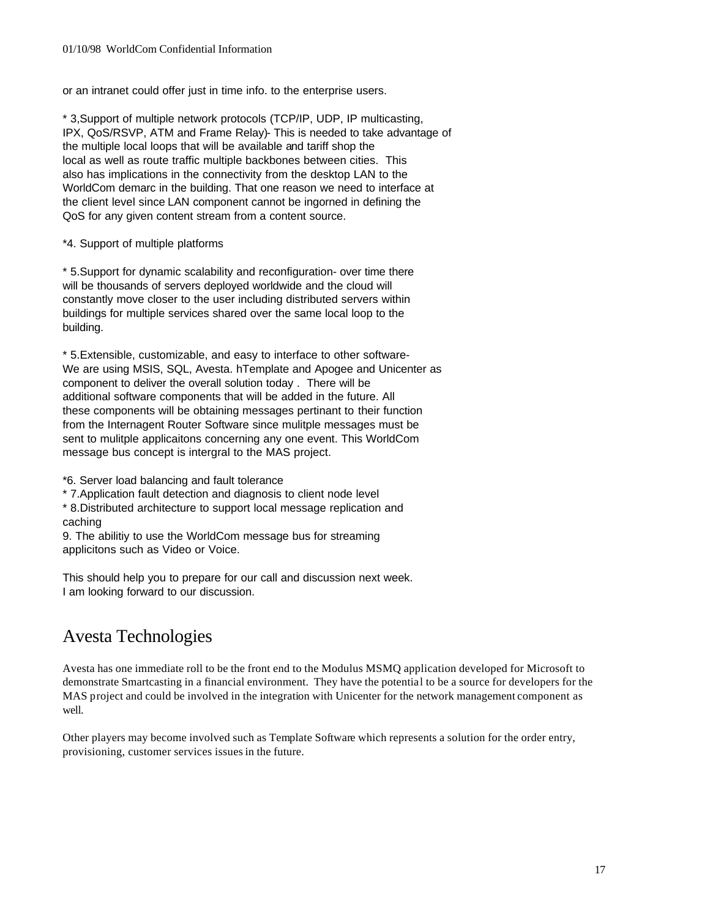or an intranet could offer just in time info. to the enterprise users.

\* 3,Support of multiple network protocols (TCP/IP, UDP, IP multicasting, IPX, QoS/RSVP, ATM and Frame Relay)- This is needed to take advantage of the multiple local loops that will be available and tariff shop the local as well as route traffic multiple backbones between cities. This also has implications in the connectivity from the desktop LAN to the WorldCom demarc in the building. That one reason we need to interface at the client level since LAN component cannot be ingorned in defining the QoS for any given content stream from a content source.

\*4. Support of multiple platforms

\* 5.Support for dynamic scalability and reconfiguration- over time there will be thousands of servers deployed worldwide and the cloud will constantly move closer to the user including distributed servers within buildings for multiple services shared over the same local loop to the building.

\* 5.Extensible, customizable, and easy to interface to other software-We are using MSIS, SQL, Avesta. hTemplate and Apogee and Unicenter as component to deliver the overall solution today . There will be additional software components that will be added in the future. All these components will be obtaining messages pertinant to their function from the Internagent Router Software since mulitple messages must be sent to mulitple applicaitons concerning any one event. This WorldCom message bus concept is intergral to the MAS project.

\*6. Server load balancing and fault tolerance

\* 7.Application fault detection and diagnosis to client node level

\* 8.Distributed architecture to support local message replication and caching

9. The abilitiy to use the WorldCom message bus for streaming applicitons such as Video or Voice.

This should help you to prepare for our call and discussion next week. I am looking forward to our discussion.

## Avesta Technologies

Avesta has one immediate roll to be the front end to the Modulus MSMQ application developed for Microsoft to demonstrate Smartcasting in a financial environment. They have the potential to be a source for developers for the MAS project and could be involved in the integration with Unicenter for the network management component as well.

Other players may become involved such as Template Software which represents a solution for the order entry, provisioning, customer services issues in the future.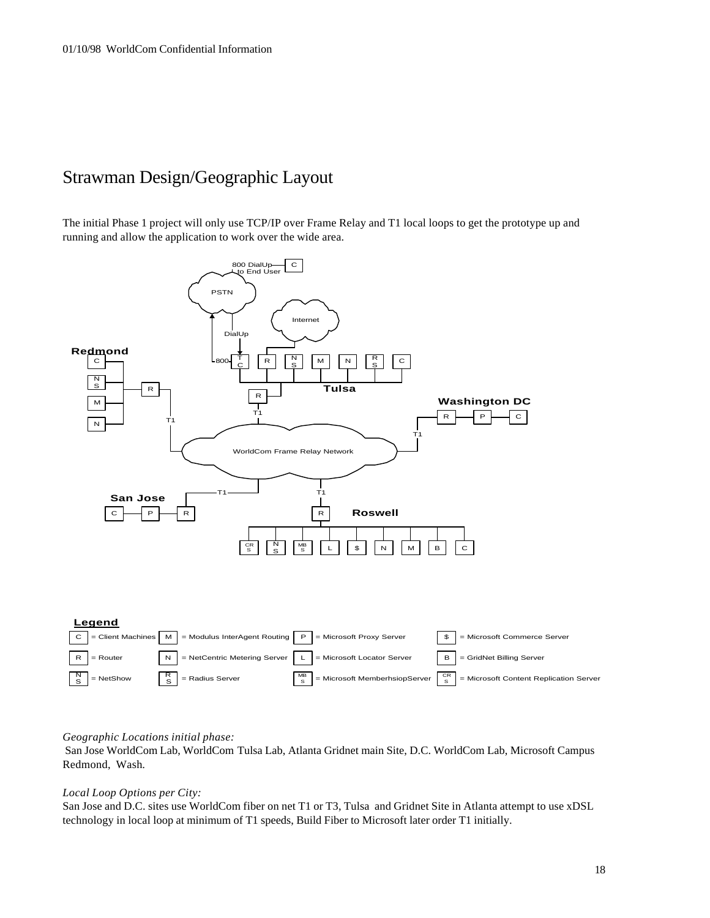## Strawman Design/Geographic Layout

The initial Phase 1 project will only use TCP/IP over Frame Relay and T1 local loops to get the prototype up and running and allow the application to work over the wide area.



#### *Geographic Locations initial phase:*

 San Jose WorldCom Lab, WorldCom Tulsa Lab, Atlanta Gridnet main Site, D.C. WorldCom Lab, Microsoft Campus Redmond, Wash*.*

#### *Local Loop Options per City:*

San Jose and D.C. sites use WorldCom fiber on net T1 or T3, Tulsa and Gridnet Site in Atlanta attempt to use xDSL technology in local loop at minimum of T1 speeds, Build Fiber to Microsoft later order T1 initially.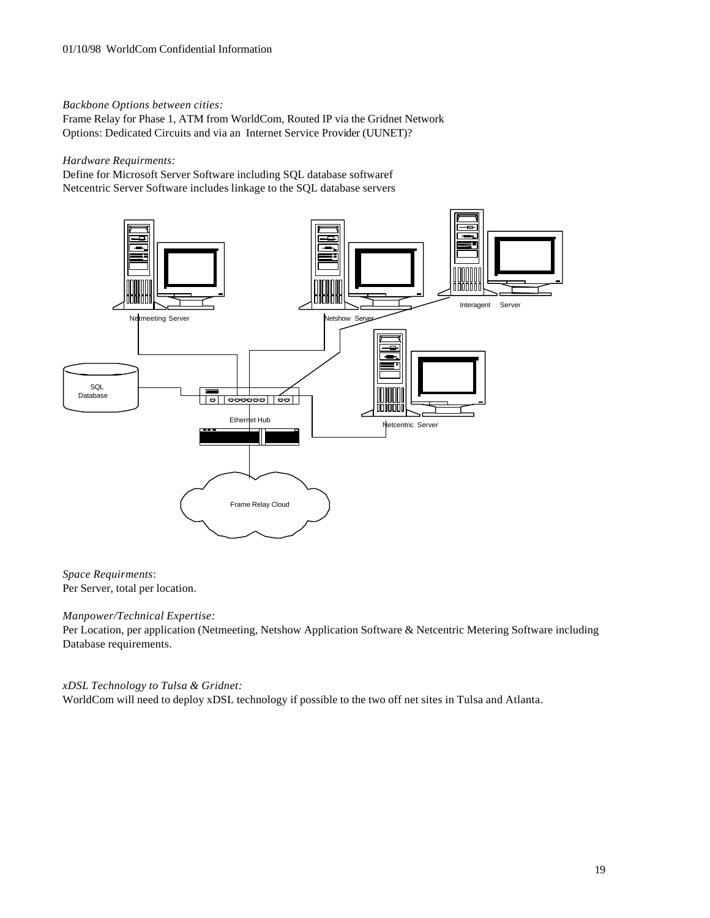*Backbone Options between cities:* 

Frame Relay for Phase 1, ATM from WorldCom, Routed IP via the Gridnet Network Options: Dedicated Circuits and via an Internet Service Provider (UUNET)?

*Hardware Requirments:*

Define for Microsoft Server Software including SQL database softwaref Netcentric Server Software includes linkage to the SQL database servers



#### *Space Requirments*: Per Server, total per location.

#### *Manpower/Technical Expertise:*

Per Location, per application (Netmeeting, Netshow Application Software & Netcentric Metering Software including Database requirements.

#### *xDSL Technology to Tulsa & Gridnet:*

WorldCom will need to deploy xDSL technology if possible to the two off net sites in Tulsa and Atlanta.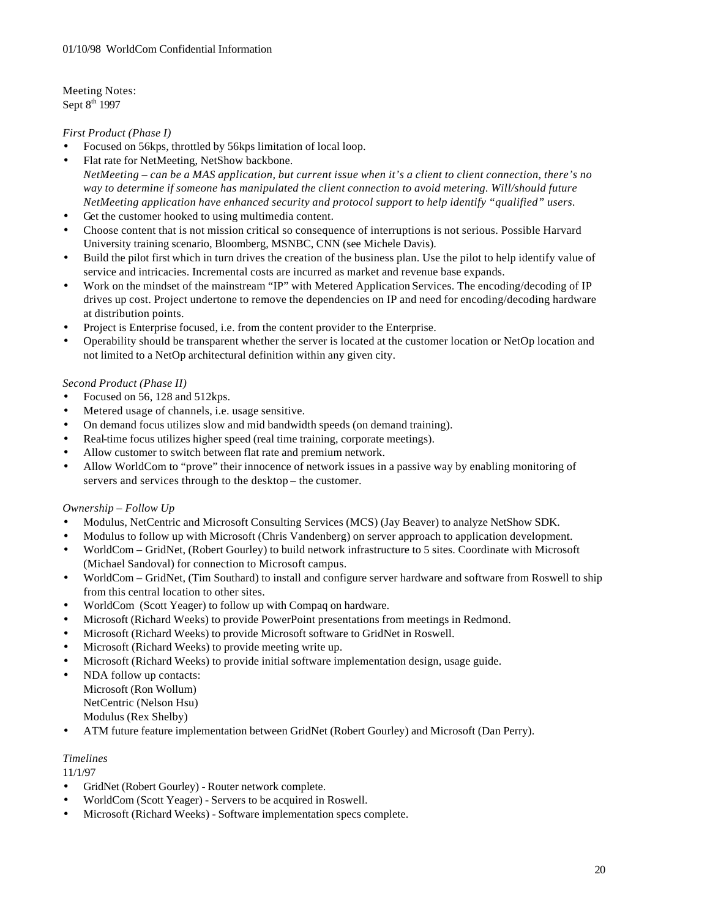Meeting Notes: Sept 8<sup>th</sup> 1997

#### *First Product (Phase I)*

- Focused on 56kps, throttled by 56kps limitation of local loop.
- Flat rate for NetMeeting, NetShow backbone. *NetMeeting – can be a MAS application, but current issue when it's a client to client connection, there's no way to determine if someone has manipulated the client connection to avoid metering. Will/should future NetMeeting application have enhanced security and protocol support to help identify "qualified" users.*
- Get the customer hooked to using multimedia content.
- Choose content that is not mission critical so consequence of interruptions is not serious. Possible Harvard University training scenario, Bloomberg, MSNBC, CNN (see Michele Davis).
- Build the pilot first which in turn drives the creation of the business plan. Use the pilot to help identify value of service and intricacies. Incremental costs are incurred as market and revenue base expands.
- Work on the mindset of the mainstream "IP" with Metered Application Services. The encoding/decoding of IP drives up cost. Project undertone to remove the dependencies on IP and need for encoding/decoding hardware at distribution points.
- Project is Enterprise focused, i.e. from the content provider to the Enterprise.
- Operability should be transparent whether the server is located at the customer location or NetOp location and not limited to a NetOp architectural definition within any given city.

#### *Second Product (Phase II)*

- Focused on 56, 128 and 512kps.
- Metered usage of channels, i.e. usage sensitive.
- On demand focus utilizes slow and mid bandwidth speeds (on demand training).
- Real-time focus utilizes higher speed (real time training, corporate meetings).
- Allow customer to switch between flat rate and premium network.
- Allow WorldCom to "prove" their innocence of network issues in a passive way by enabling monitoring of servers and services through to the desktop – the customer.

#### *Ownership – Follow Up*

- Modulus, NetCentric and Microsoft Consulting Services (MCS) (Jay Beaver) to analyze NetShow SDK.
- Modulus to follow up with Microsoft (Chris Vandenberg) on server approach to application development.
- WorldCom GridNet, (Robert Gourley) to build network infrastructure to 5 sites. Coordinate with Microsoft (Michael Sandoval) for connection to Microsoft campus.
- WorldCom GridNet, (Tim Southard) to install and configure server hardware and software from Roswell to ship from this central location to other sites.
- WorldCom (Scott Yeager) to follow up with Compaq on hardware.
- Microsoft (Richard Weeks) to provide PowerPoint presentations from meetings in Redmond.
- Microsoft (Richard Weeks) to provide Microsoft software to GridNet in Roswell.
- Microsoft (Richard Weeks) to provide meeting write up.
- Microsoft (Richard Weeks) to provide initial software implementation design, usage guide.
- NDA follow up contacts: Microsoft (Ron Wollum)

NetCentric (Nelson Hsu)

Modulus (Rex Shelby)

• ATM future feature implementation between GridNet (Robert Gourley) and Microsoft (Dan Perry).

#### *Timelines*

11/1/97

- GridNet (Robert Gourley) Router network complete.
- WorldCom (Scott Yeager) Servers to be acquired in Roswell.
- Microsoft (Richard Weeks) Software implementation specs complete.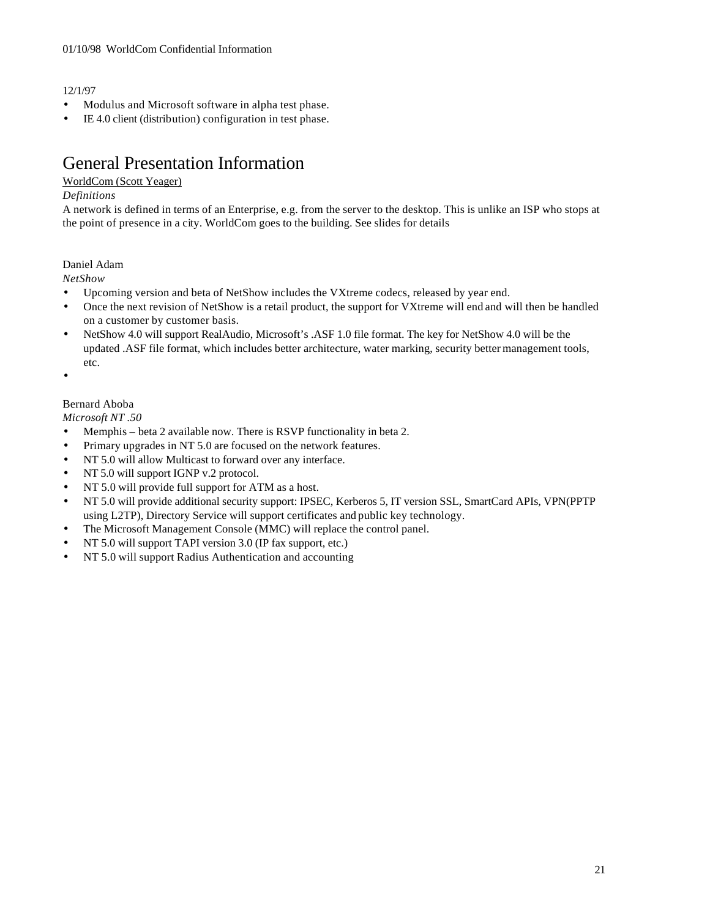#### 12/1/97

- Modulus and Microsoft software in alpha test phase.
- IE 4.0 client (distribution) configuration in test phase.

## General Presentation Information

#### WorldCom (Scott Yeager)

#### *Definitions*

A network is defined in terms of an Enterprise, e.g. from the server to the desktop. This is unlike an ISP who stops at the point of presence in a city. WorldCom goes to the building. See slides for details

#### Daniel Adam

*NetShow*

- Upcoming version and beta of NetShow includes the VXtreme codecs, released by year end.
- Once the next revision of NetShow is a retail product, the support for VXtreme will end and will then be handled on a customer by customer basis.
- NetShow 4.0 will support RealAudio, Microsoft's .ASF 1.0 file format. The key for NetShow 4.0 will be the updated .ASF file format, which includes better architecture, water marking, security better management tools, etc.
- •

#### Bernard Aboba

*Microsoft NT .50*

- Memphis beta 2 available now. There is RSVP functionality in beta 2.
- Primary upgrades in NT 5.0 are focused on the network features.
- NT 5.0 will allow Multicast to forward over any interface.
- NT 5.0 will support IGNP v.2 protocol.
- NT 5.0 will provide full support for ATM as a host.
- NT 5.0 will provide additional security support: IPSEC, Kerberos 5, IT version SSL, SmartCard APIs, VPN(PPTP using L2TP), Directory Service will support certificates and public key technology.
- The Microsoft Management Console (MMC) will replace the control panel.
- NT 5.0 will support TAPI version 3.0 (IP fax support, etc.)
- NT 5.0 will support Radius Authentication and accounting